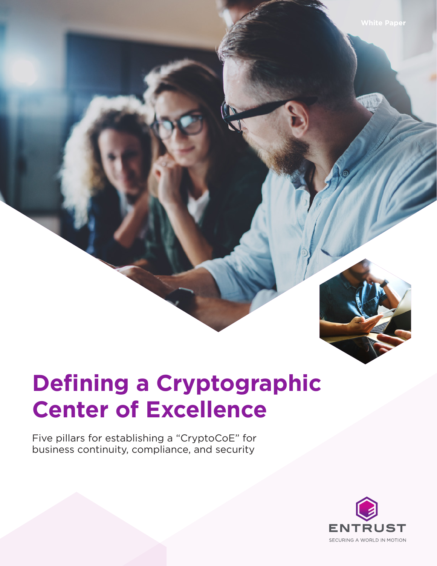

# **Defining a Cryptographic Center of Excellence**

Five pillars for establishing a "CryptoCoE" for business continuity, compliance, and security

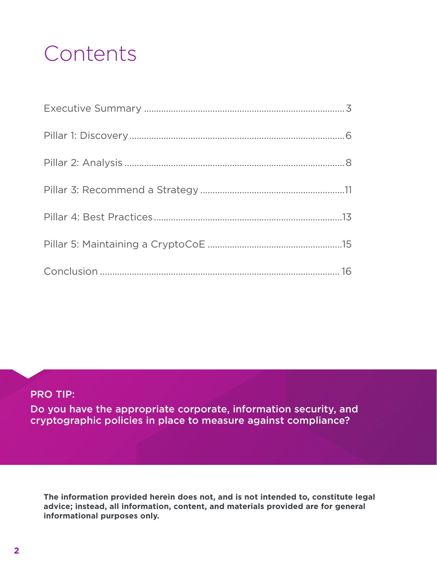## **Contents**

### PRO TIP:

Do you have the appropriate corporate, information security, and cryptographic policies in place to measure against compliance?

**The information provided herein does not, and is not intended to, constitute legal advice; instead, all information, content, and materials provided are for general informational purposes only.**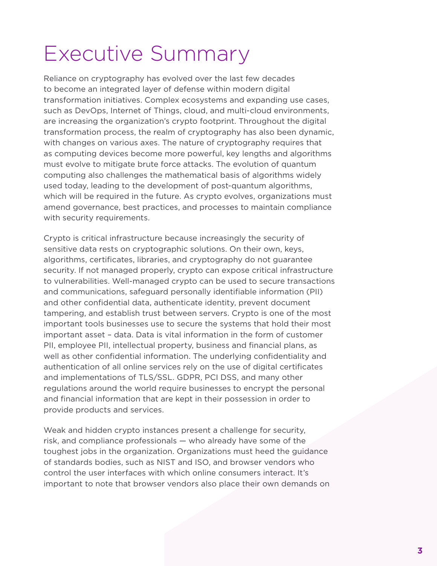## Executive Summary

Reliance on cryptography has evolved over the last few decades to become an integrated layer of defense within modern digital transformation initiatives. Complex ecosystems and expanding use cases, such as DevOps, Internet of Things, cloud, and multi-cloud environments, are increasing the organization's crypto footprint. Throughout the digital transformation process, the realm of cryptography has also been dynamic, with changes on various axes. The nature of cryptography requires that as computing devices become more powerful, key lengths and algorithms must evolve to mitigate brute force attacks. The evolution of quantum computing also challenges the mathematical basis of algorithms widely used today, leading to the development of post-quantum algorithms, which will be required in the future. As crypto evolves, organizations must amend governance, best practices, and processes to maintain compliance with security requirements.

Crypto is critical infrastructure because increasingly the security of sensitive data rests on cryptographic solutions. On their own, keys, algorithms, certificates, libraries, and cryptography do not guarantee security. If not managed properly, crypto can expose critical infrastructure to vulnerabilities. Well-managed crypto can be used to secure transactions and communications, safeguard personally identifiable information (PII) and other confidential data, authenticate identity, prevent document tampering, and establish trust between servers. Crypto is one of the most important tools businesses use to secure the systems that hold their most important asset – data. Data is vital information in the form of customer PII, employee PII, intellectual property, business and financial plans, as well as other confidential information. The underlying confidentiality and authentication of all online services rely on the use of digital certificates and implementations of TLS/SSL. GDPR, PCI DSS, and many other regulations around the world require businesses to encrypt the personal and financial information that are kept in their possession in order to provide products and services.

Weak and hidden crypto instances present a challenge for security, risk, and compliance professionals — who already have some of the toughest jobs in the organization. Organizations must heed the guidance of standards bodies, such as NIST and ISO, and browser vendors who control the user interfaces with which online consumers interact. It's important to note that browser vendors also place their own demands on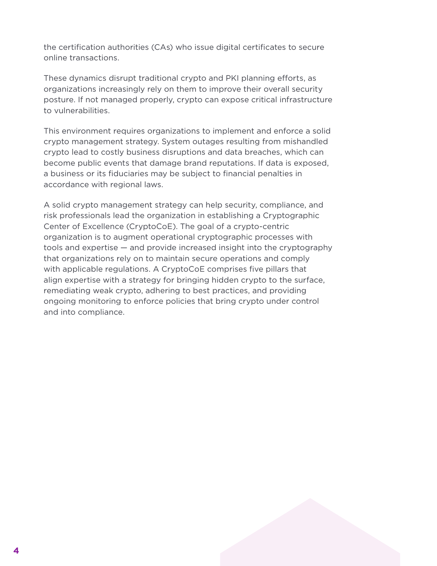the certification authorities (CAs) who issue digital certificates to secure online transactions.

These dynamics disrupt traditional crypto and PKI planning efforts, as organizations increasingly rely on them to improve their overall security posture. If not managed properly, crypto can expose critical infrastructure to vulnerabilities.

This environment requires organizations to implement and enforce a solid crypto management strategy. System outages resulting from mishandled crypto lead to costly business disruptions and data breaches, which can become public events that damage brand reputations. If data is exposed, a business or its fiduciaries may be subject to financial penalties in accordance with regional laws.

A solid crypto management strategy can help security, compliance, and risk professionals lead the organization in establishing a Cryptographic Center of Excellence (CryptoCoE). The goal of a crypto-centric organization is to augment operational cryptographic processes with tools and expertise — and provide increased insight into the cryptography that organizations rely on to maintain secure operations and comply with applicable regulations. A CryptoCoE comprises five pillars that align expertise with a strategy for bringing hidden crypto to the surface, remediating weak crypto, adhering to best practices, and providing ongoing monitoring to enforce policies that bring crypto under control and into compliance.

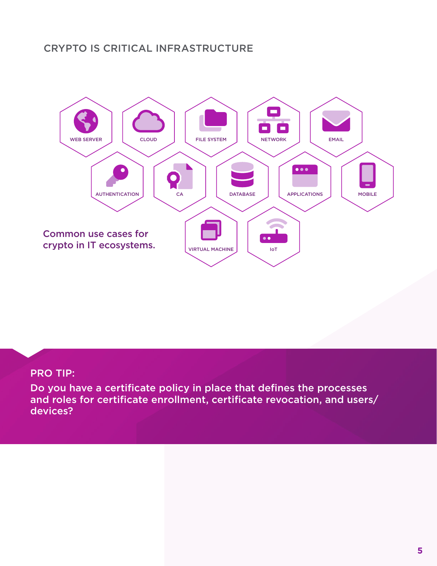## CRYPTO IS CRITICAL INFRASTRUCTURE



### PRO TIP:

Do you have a certificate policy in place that defines the processes and roles for certificate enrollment, certificate revocation, and users/ devices?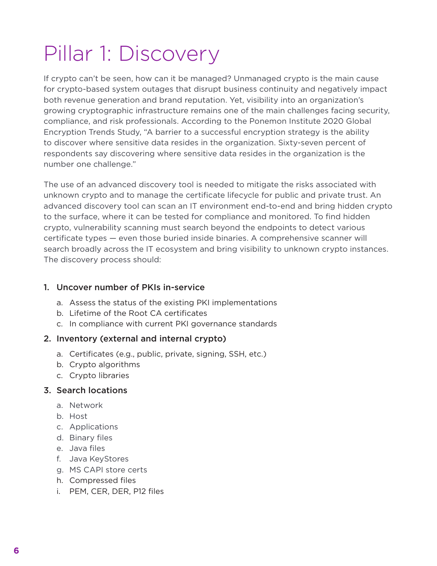# Pillar 1: Discovery

If crypto can't be seen, how can it be managed? Unmanaged crypto is the main cause for crypto-based system outages that disrupt business continuity and negatively impact both revenue generation and brand reputation. Yet, visibility into an organization's growing cryptographic infrastructure remains one of the main challenges facing security, compliance, and risk professionals. According to the Ponemon Institute 2020 Global Encryption Trends Study, "A barrier to a successful encryption strategy is the ability to discover where sensitive data resides in the organization. Sixty-seven percent of respondents say discovering where sensitive data resides in the organization is the number one challenge."

The use of an advanced discovery tool is needed to mitigate the risks associated with unknown crypto and to manage the certificate lifecycle for public and private trust. An advanced discovery tool can scan an IT environment end-to-end and bring hidden crypto to the surface, where it can be tested for compliance and monitored. To find hidden crypto, vulnerability scanning must search beyond the endpoints to detect various certificate types — even those buried inside binaries. A comprehensive scanner will search broadly across the IT ecosystem and bring visibility to unknown crypto instances. The discovery process should:

### 1. Uncover number of PKIs in-service

- a. Assess the status of the existing PKI implementations
- b. Lifetime of the Root CA certificates
- c. In compliance with current PKI governance standards

### 2. Inventory (external and internal crypto)

- a. Certificates (e.g., public, private, signing, SSH, etc.)
- b. Crypto algorithms
- c. Crypto libraries

### 3. Search locations

- a. Network
- b. Host
- c. Applications
- d. Binary files
- e. Java files
- f. Java KeyStores
- g. MS CAPI store certs
- h. Compressed files
- i. PEM, CER, DER, P12 files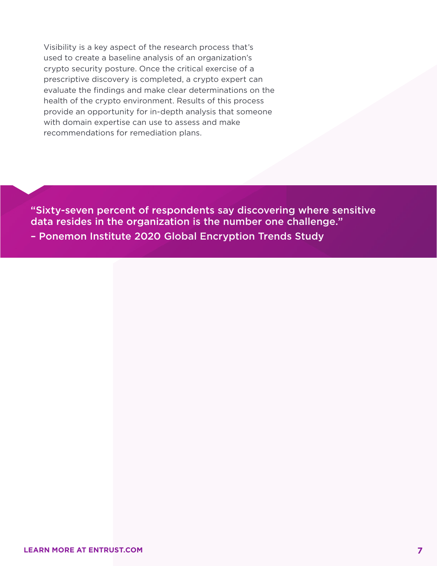Visibility is a key aspect of the research process that's used to create a baseline analysis of an organization's crypto security posture. Once the critical exercise of a prescriptive discovery is completed, a crypto expert can evaluate the findings and make clear determinations on the health of the crypto environment. Results of this process provide an opportunity for in-depth analysis that someone with domain expertise can use to assess and make recommendations for remediation plans.

"Sixty-seven percent of respondents say discovering where sensitive data resides in the organization is the number one challenge." – Ponemon Institute 2020 Global Encryption Trends Study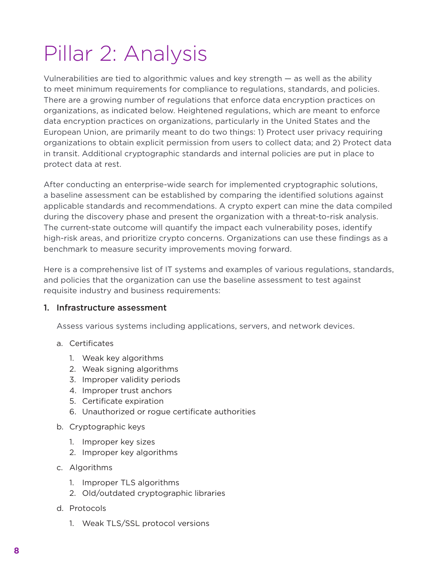## Pillar 2: Analysis

Vulnerabilities are tied to algorithmic values and key strength — as well as the ability to meet minimum requirements for compliance to regulations, standards, and policies. There are a growing number of regulations that enforce data encryption practices on organizations, as indicated below. Heightened regulations, which are meant to enforce data encryption practices on organizations, particularly in the United States and the European Union, are primarily meant to do two things: 1) Protect user privacy requiring organizations to obtain explicit permission from users to collect data; and 2) Protect data in transit. Additional cryptographic standards and internal policies are put in place to protect data at rest.

After conducting an enterprise-wide search for implemented cryptographic solutions, a baseline assessment can be established by comparing the identified solutions against applicable standards and recommendations. A crypto expert can mine the data compiled during the discovery phase and present the organization with a threat-to-risk analysis. The current-state outcome will quantify the impact each vulnerability poses, identify high-risk areas, and prioritize crypto concerns. Organizations can use these findings as a benchmark to measure security improvements moving forward.

Here is a comprehensive list of IT systems and examples of various regulations, standards, and policies that the organization can use the baseline assessment to test against requisite industry and business requirements:

#### 1. Infrastructure assessment

Assess various systems including applications, servers, and network devices.

- a. Certificates
	- 1. Weak key algorithms
	- 2. Weak signing algorithms
	- 3. Improper validity periods
	- 4. Improper trust anchors
	- 5. Certificate expiration
	- 6. Unauthorized or rogue certificate authorities
- b. Cryptographic keys
	- 1. Improper key sizes
	- 2. Improper key algorithms
- c. Algorithms
	- 1. Improper TLS algorithms
	- 2. Old/outdated cryptographic libraries
- d. Protocols
	- 1. Weak TLS/SSL protocol versions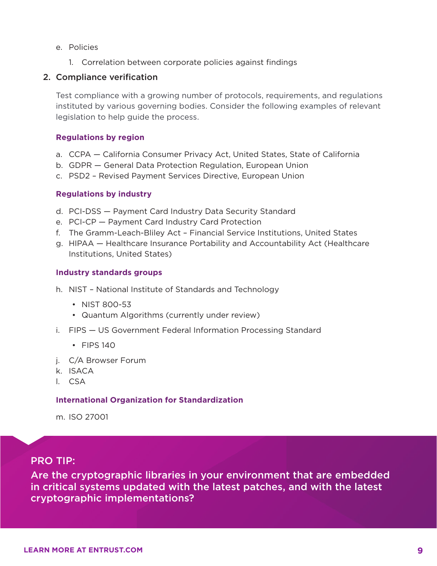- e. Policies
	- 1. Correlation between corporate policies against findings

#### 2. Compliance verification

Test compliance with a growing number of protocols, requirements, and regulations instituted by various governing bodies. Consider the following examples of relevant legislation to help guide the process.

#### **Regulations by region**

- a. CCPA California Consumer Privacy Act, United States, State of California
- b. GDPR General Data Protection Regulation, European Union
- c. PSD2 Revised Payment Services Directive, European Union

#### **Regulations by industry**

- d. PCI-DSS Payment Card Industry Data Security Standard
- e. PCI-CP Payment Card Industry Card Protection
- f. The Gramm-Leach-Bliley Act Financial Service Institutions, United States
- g. HIPAA Healthcare Insurance Portability and Accountability Act (Healthcare Institutions, United States)

#### **Industry standards groups**

- h. NIST National Institute of Standards and Technology
	- NIST 800-53
	- Quantum Algorithms (currently under review)
- i. FIPS US Government Federal Information Processing Standard
	- FIPS 140
- j. C/A Browser Forum
- k. ISACA
- l. CSA

#### **International Organization for Standardization**

m. ISO 27001

#### PRO TIP:

Are the cryptographic libraries in your environment that are embedded in critical systems updated with the latest patches, and with the latest cryptographic implementations?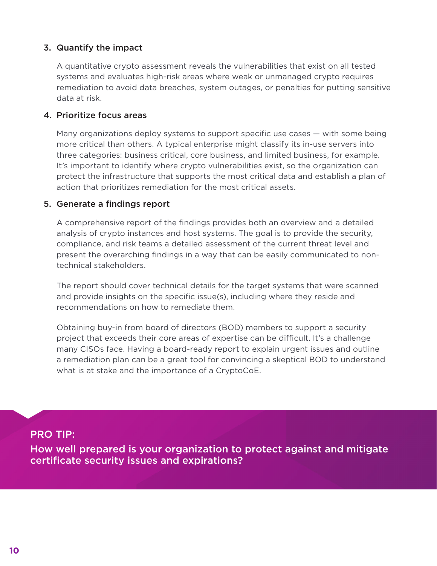#### 3. Quantify the impact

A quantitative crypto assessment reveals the vulnerabilities that exist on all tested systems and evaluates high-risk areas where weak or unmanaged crypto requires remediation to avoid data breaches, system outages, or penalties for putting sensitive data at risk.

#### 4. Prioritize focus areas

Many organizations deploy systems to support specific use cases — with some being more critical than others. A typical enterprise might classify its in-use servers into three categories: business critical, core business, and limited business, for example. It's important to identify where crypto vulnerabilities exist, so the organization can protect the infrastructure that supports the most critical data and establish a plan of action that prioritizes remediation for the most critical assets.

#### 5. Generate a findings report

A comprehensive report of the findings provides both an overview and a detailed analysis of crypto instances and host systems. The goal is to provide the security, compliance, and risk teams a detailed assessment of the current threat level and present the overarching findings in a way that can be easily communicated to nontechnical stakeholders.

The report should cover technical details for the target systems that were scanned and provide insights on the specific issue(s), including where they reside and recommendations on how to remediate them.

Obtaining buy-in from board of directors (BOD) members to support a security project that exceeds their core areas of expertise can be difficult. It's a challenge many CISOs face. Having a board-ready report to explain urgent issues and outline a remediation plan can be a great tool for convincing a skeptical BOD to understand what is at stake and the importance of a CryptoCoE.

PRO TIP:

How well prepared is your organization to protect against and mitigate certificate security issues and expirations?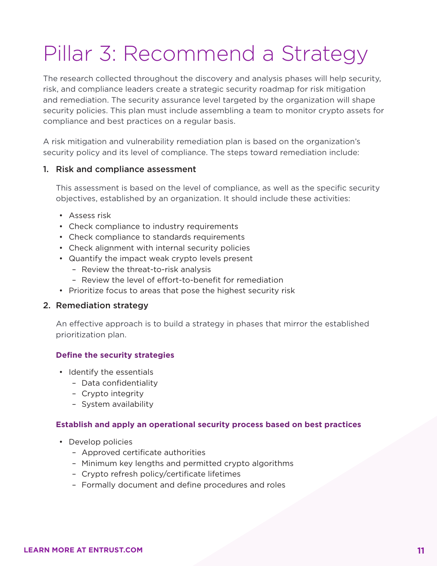## Pillar 3: Recommend a Strategy

The research collected throughout the discovery and analysis phases will help security, risk, and compliance leaders create a strategic security roadmap for risk mitigation and remediation. The security assurance level targeted by the organization will shape security policies. This plan must include assembling a team to monitor crypto assets for compliance and best practices on a regular basis.

A risk mitigation and vulnerability remediation plan is based on the organization's security policy and its level of compliance. The steps toward remediation include:

#### 1. Risk and compliance assessment

This assessment is based on the level of compliance, as well as the specific security objectives, established by an organization. It should include these activities:

- Assess risk
- Check compliance to industry requirements
- Check compliance to standards requirements
- Check alignment with internal security policies
- Quantify the impact weak crypto levels present
	- Review the threat-to-risk analysis
	- Review the level of effort-to-benefit for remediation
- Prioritize focus to areas that pose the highest security risk

#### 2. Remediation strategy

An effective approach is to build a strategy in phases that mirror the established prioritization plan.

#### **Define the security strategies**

- Identify the essentials
	- Data confidentiality
	- Crypto integrity
	- System availability

#### **Establish and apply an operational security process based on best practices**

- Develop policies
	- Approved certificate authorities
	- Minimum key lengths and permitted crypto algorithms
	- Crypto refresh policy/certificate lifetimes
	- Formally document and define procedures and roles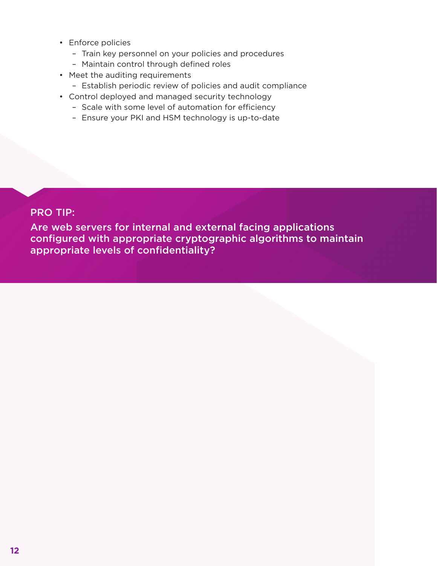- Enforce policies
	- Train key personnel on your policies and procedures
	- Maintain control through defined roles
- Meet the auditing requirements
	- Establish periodic review of policies and audit compliance
- Control deployed and managed security technology
	- Scale with some level of automation for efficiency
	- Ensure your PKI and HSM technology is up-to-date

### PRO TIP:

Are web servers for internal and external facing applications configured with appropriate cryptographic algorithms to maintain appropriate levels of confidentiality?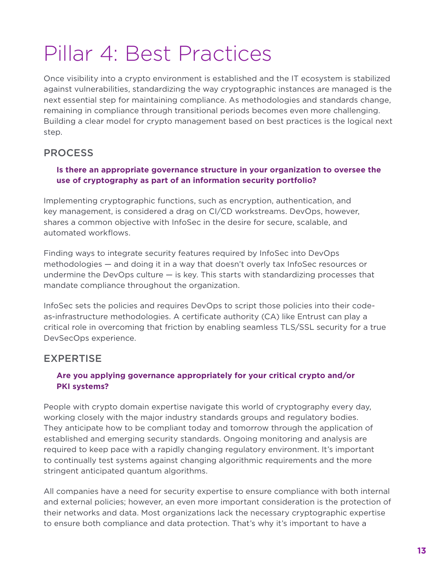## Pillar 4: Best Practices

Once visibility into a crypto environment is established and the IT ecosystem is stabilized against vulnerabilities, standardizing the way cryptographic instances are managed is the next essential step for maintaining compliance. As methodologies and standards change, remaining in compliance through transitional periods becomes even more challenging. Building a clear model for crypto management based on best practices is the logical next step.

## PROCESS

#### **Is there an appropriate governance structure in your organization to oversee the use of cryptography as part of an information security portfolio?**

Implementing cryptographic functions, such as encryption, authentication, and key management, is considered a drag on CI/CD workstreams. DevOps, however, shares a common objective with InfoSec in the desire for secure, scalable, and automated workflows.

Finding ways to integrate security features required by InfoSec into DevOps methodologies — and doing it in a way that doesn't overly tax InfoSec resources or undermine the DevOps culture  $-$  is key. This starts with standardizing processes that mandate compliance throughout the organization.

InfoSec sets the policies and requires DevOps to script those policies into their codeas-infrastructure methodologies. A certificate authority (CA) like Entrust can play a critical role in overcoming that friction by enabling seamless TLS/SSL security for a true DevSecOps experience.

## EXPERTISE

### **Are you applying governance appropriately for your critical crypto and/or PKI systems?**

People with crypto domain expertise navigate this world of cryptography every day, working closely with the major industry standards groups and regulatory bodies. They anticipate how to be compliant today and tomorrow through the application of established and emerging security standards. Ongoing monitoring and analysis are required to keep pace with a rapidly changing regulatory environment. It's important to continually test systems against changing algorithmic requirements and the more stringent anticipated quantum algorithms.

All companies have a need for security expertise to ensure compliance with both internal and external policies; however, an even more important consideration is the protection of their networks and data. Most organizations lack the necessary cryptographic expertise to ensure both compliance and data protection. That's why it's important to have a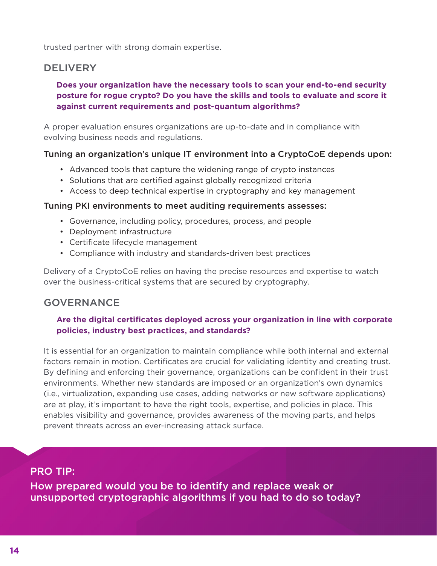trusted partner with strong domain expertise.

### **DELIVERY**

#### **Does your organization have the necessary tools to scan your end-to-end security posture for rogue crypto? Do you have the skills and tools to evaluate and score it against current requirements and post-quantum algorithms?**

A proper evaluation ensures organizations are up-to-date and in compliance with evolving business needs and regulations.

#### Tuning an organization's unique IT environment into a CryptoCoE depends upon:

- Advanced tools that capture the widening range of crypto instances
- Solutions that are certified against globally recognized criteria
- Access to deep technical expertise in cryptography and key management

#### Tuning PKI environments to meet auditing requirements assesses:

- Governance, including policy, procedures, process, and people
- Deployment infrastructure
- Certificate lifecycle management
- Compliance with industry and standards-driven best practices

Delivery of a CryptoCoE relies on having the precise resources and expertise to watch over the business-critical systems that are secured by cryptography.

### GOVERNANCE

#### **Are the digital certificates deployed across your organization in line with corporate policies, industry best practices, and standards?**

It is essential for an organization to maintain compliance while both internal and external factors remain in motion. Certificates are crucial for validating identity and creating trust. By defining and enforcing their governance, organizations can be confident in their trust environments. Whether new standards are imposed or an organization's own dynamics (i.e., virtualization, expanding use cases, adding networks or new software applications) are at play, it's important to have the right tools, expertise, and policies in place. This enables visibility and governance, provides awareness of the moving parts, and helps prevent threats across an ever-increasing attack surface.

### PRO TIP:

How prepared would you be to identify and replace weak or unsupported cryptographic algorithms if you had to do so today?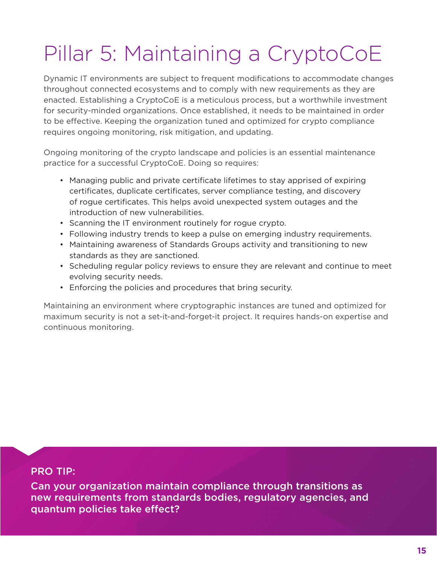# Pillar 5: Maintaining a CryptoCoE

Dynamic IT environments are subject to frequent modifications to accommodate changes throughout connected ecosystems and to comply with new requirements as they are enacted. Establishing a CryptoCoE is a meticulous process, but a worthwhile investment for security-minded organizations. Once established, it needs to be maintained in order to be effective. Keeping the organization tuned and optimized for crypto compliance requires ongoing monitoring, risk mitigation, and updating.

Ongoing monitoring of the crypto landscape and policies is an essential maintenance practice for a successful CryptoCoE. Doing so requires:

- Managing public and private certificate lifetimes to stay apprised of expiring certificates, duplicate certificates, server compliance testing, and discovery of rogue certificates. This helps avoid unexpected system outages and the introduction of new vulnerabilities.
- Scanning the IT environment routinely for rogue crypto.
- Following industry trends to keep a pulse on emerging industry requirements.
- Maintaining awareness of Standards Groups activity and transitioning to new standards as they are sanctioned.
- Scheduling regular policy reviews to ensure they are relevant and continue to meet evolving security needs.
- Enforcing the policies and procedures that bring security.

Maintaining an environment where cryptographic instances are tuned and optimized for maximum security is not a set-it-and-forget-it project. It requires hands-on expertise and continuous monitoring.

### PRO TIP:

Can your organization maintain compliance through transitions as new requirements from standards bodies, regulatory agencies, and quantum policies take effect?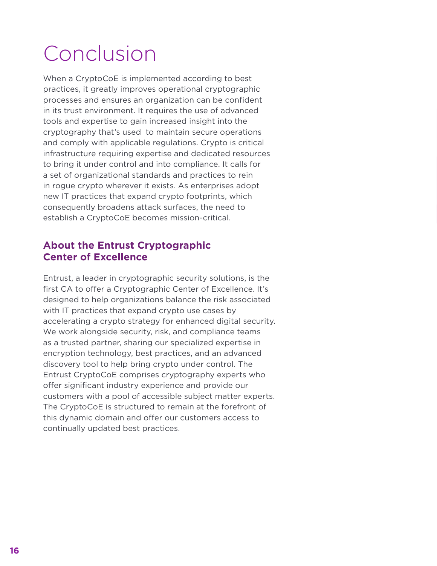# Conclusion

When a CryptoCoE is implemented according to best practices, it greatly improves operational cryptographic processes and ensures an organization can be confident in its trust environment. It requires the use of advanced tools and expertise to gain increased insight into the cryptography that's used to maintain secure operations and comply with applicable regulations. Crypto is critical infrastructure requiring expertise and dedicated resources to bring it under control and into compliance. It calls for a set of organizational standards and practices to rein in rogue crypto wherever it exists. As enterprises adopt new IT practices that expand crypto footprints, which consequently broadens attack surfaces, the need to establish a CryptoCoE becomes mission-critical.

### **About the Entrust Cryptographic Center of Excellence**

Entrust, a leader in cryptographic security solutions, is the first CA to offer a Cryptographic Center of Excellence. It's designed to help organizations balance the risk associated with IT practices that expand crypto use cases by accelerating a crypto strategy for enhanced digital security. We work alongside security, risk, and compliance teams as a trusted partner, sharing our specialized expertise in encryption technology, best practices, and an advanced discovery tool to help bring crypto under control. The Entrust CryptoCoE comprises cryptography experts who offer significant industry experience and provide our customers with a pool of accessible subject matter experts. The CryptoCoE is structured to remain at the forefront of this dynamic domain and offer our customers access to continually updated best practices.